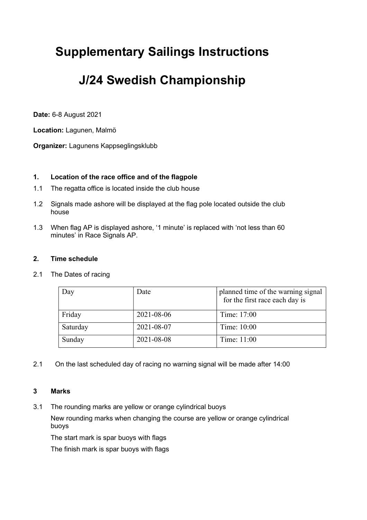# Supplementary Sailings Instructions

## J/24 Swedish Championship

Date: 6-8 August 2021

Location: Lagunen, Malmö

Organizer: Lagunens Kappseglingsklubb

### 1. Location of the race office and of the flagpole

- 1.1 The regatta office is located inside the club house
- 1.2 Signals made ashore will be displayed at the flag pole located outside the club house
- 1.3 When flag AP is displayed ashore, '1 minute' is replaced with 'not less than 60 minutes' in Race Signals AP.

#### 2. Time schedule

2.1 The Dates of racing

| Day      | Date       | planned time of the warning signal<br>for the first race each day is |
|----------|------------|----------------------------------------------------------------------|
| Friday   | 2021-08-06 | Time: 17:00                                                          |
| Saturday | 2021-08-07 | Time: 10:00                                                          |
| Sunday   | 2021-08-08 | Time: 11:00                                                          |

2.1 On the last scheduled day of racing no warning signal will be made after 14:00

#### 3 Marks

3.1 The rounding marks are yellow or orange cylindrical buoys

New rounding marks when changing the course are yellow or orange cylindrical buoys

The start mark is spar buoys with flags

The finish mark is spar buoys with flags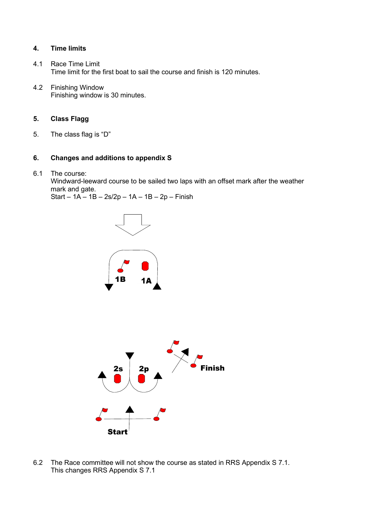#### 4. Time limits

- 4.1 Race Time Limit Time limit for the first boat to sail the course and finish is 120 minutes.
- 4.2 Finishing Window Finishing window is 30 minutes.

#### 5. Class Flagg

5. The class flag is "D"

#### 6. Changes and additions to appendix S

6.1 The course:

 Windward-leeward course to be sailed two laps with an offset mark after the weather mark and gate.

Start – 1A – 1B – 2s/2p – 1A – 1B – 2p – Finish





6.2 The Race committee will not show the course as stated in RRS Appendix S 7.1. This changes RRS Appendix S 7.1